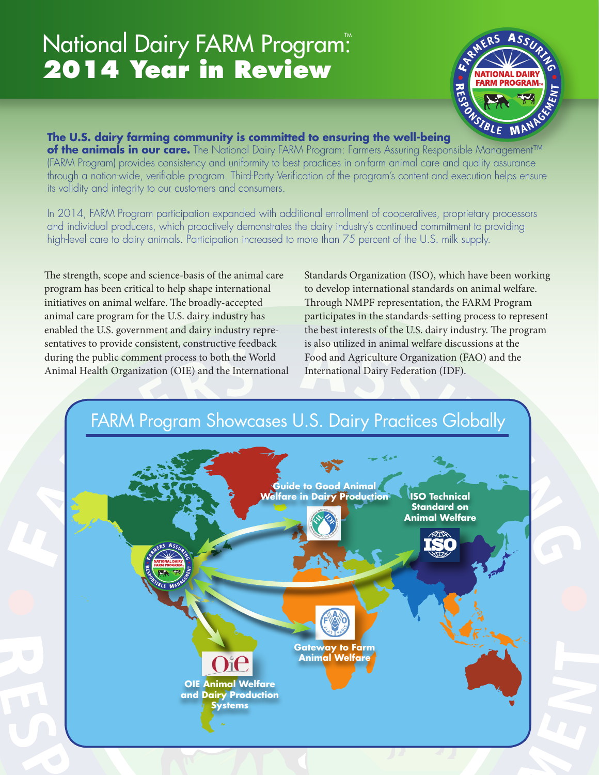# National Dairy FARM Program: **2014 Year in Review**



#### **The U.S. dairy farming community is committed to ensuring the well-bei[ng](www.nationaldairyfarm.com)**

**of the animals in our care.** The National Dairy FARM Program: Farmers Assuring Responsible Management™ (FARM Program) provides consistency and uniformity to best practices in on-farm animal care and quality assurance through a nation-wide, verifiable program. Third-Party Verification of the program's content and execution helps ensure its validity and integrity to our customers and consumers.

In 2014, FARM Program participation expanded with additional enrollment of cooperatives, proprietary processors and individual producers, which proactively demonstrates the dairy industry's continued commitment to providing high-level care to dairy animals. Participation increased to more than 75 percent of the U.S. milk supply.

The strength, scope and science-basis of the animal care program has been critical to help shape international initiatives on animal welfare. The broadly-accepted animal care program for the U.S. dairy industry has enabled the U.S. government and dairy industry representatives to provide consistent, constructive feedback during the public comment process to both the World Animal Health Organization (OIE) and the International

Standards Organization (ISO), which have been working to develop international standards on animal welfare. Through NMPF representation, the FARM Program participates in the standards-setting process to represent the best interests of the U.S. dairy industry. The program is also utilized in animal welfare discussions at the Food and Agriculture Organization (FAO) and the International Dairy Federation (IDF).

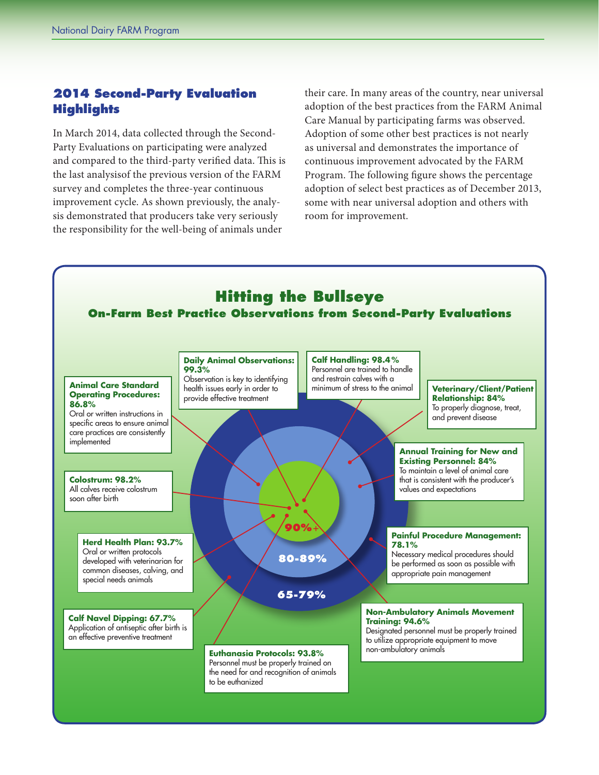### **2014 Second-Party Evaluation Highlights**

In March 2014, data collected through the Second-Party Evaluations on participating were analyzed and compared to the third-party verified data. This is the last analysisof the previous version of the FARM survey and completes the three-year continuous improvement cycle. As shown previously, the analysis demonstrated that producers take very seriously the responsibility for the well-being of animals under

their care. In many areas of the country, near universal adoption of the best practices from the FARM Animal Care Manual by participating farms was observed. Adoption of some other best practices is not nearly as universal and demonstrates the importance of continuous improvement advocated by the FARM Program. The following figure shows the percentage adoption of select best practices as of December 2013, some with near universal adoption and others with room for improvement.

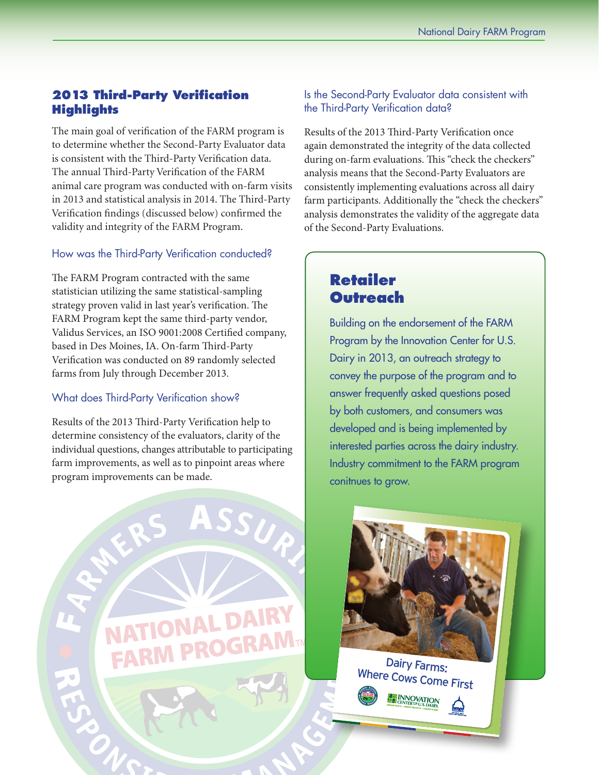## **2013 Third-Party Verification Highlights**

The main goal of verification of the FARM program is to determine whether the Second-Party Evaluator data is consistent with the Third-Party Verification data. The annual Third-Party Verification of the FARM animal care program was conducted with on-farm visits in 2013 and statistical analysis in 2014. The Third-Party Verification findings (discussed below) confirmed the validity and integrity of the FARM Program.

#### How was the Third-Party Verification conducted?

The FARM Program contracted with the same statistician utilizing the same statistical-sampling strategy proven valid in last year's verification. The FARM Program kept the same third-party vendor, Validus Services, an ISO 9001:2008 Certified company, based in Des Moines, IA. On-farm Third-Party Verification was conducted on 89 randomly selected farms from July through December 2013.

#### What does Third-Party Verification show?

Results of the 2013 Third-Party Verification help to determine consistency of the evaluators, clarity of the individual questions, changes attributable to participating farm improvements, as well as to pinpoint areas where program improvements can be made.



Is the Second-Party Evaluator data consistent with the Third-Party Verification data?

Results of the 2013 Third-Party Verification once again demonstrated the integrity of the data collected during on-farm evaluations. This "check the checkers" analysis means that the Second-Party Evaluators are consistently implementing evaluations across all dairy farm participants. Additionally the "check the checkers" analysis demonstrates the validity of the aggregate data of the Second-Party Evaluations.

# **Retailer Outreach**

Building on the endorsement of the FARM Program by the Innovation Center for U.S. Dairy in 2013, an outreach strategy to convey the purpose of the program and to answer frequently asked questions posed by both customers, and consumers was developed and is being implemented by interested parties across the dairy industry. Industry commitment to the FARM program conitnues to grow.



Where Cows Come First

**ENNOVATION**